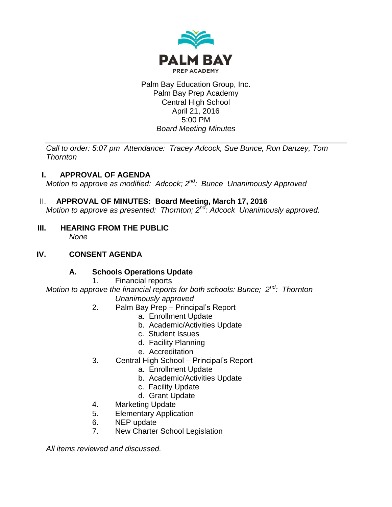

#### Palm Bay Education Group, Inc. Palm Bay Prep Academy Central High School April 21, 2016 5:00 PM *Board Meeting Minutes*

*Call to order: 5:07 pm Attendance: Tracey Adcock, Sue Bunce, Ron Danzey, Tom Thornton*

# **I. APPROVAL OF AGENDA**

*Motion to approve as modified: Adcock; 2nd: Bunce Unanimously Approved*

# II. **APPROVAL OF MINUTES: Board Meeting, March 17, 2016**

*Motion to approve as presented: Thornton; 2nd: Adcock Unanimously approved.*

**III. HEARING FROM THE PUBLIC** *None*

# **IV. CONSENT AGENDA**

# **A. Schools Operations Update**

1. Financial reports

*Motion to approve the financial reports for both schools: Bunce; 2nd : Thornton Unanimously approved*

- 2. Palm Bay Prep Principal's Report
	- a. Enrollment Update
	- b. Academic/Activities Update
	- c. Student Issues
	- d. Facility Planning
	- e. Accreditation
- 3. Central High School Principal's Report
	- a. Enrollment Update
	- b. Academic/Activities Update
	- c. Facility Update
	- d. Grant Update
- 4. Marketing Update
- 5. Elementary Application
- 6. NEP update
- 7. New Charter School Legislation

*All items reviewed and discussed.*